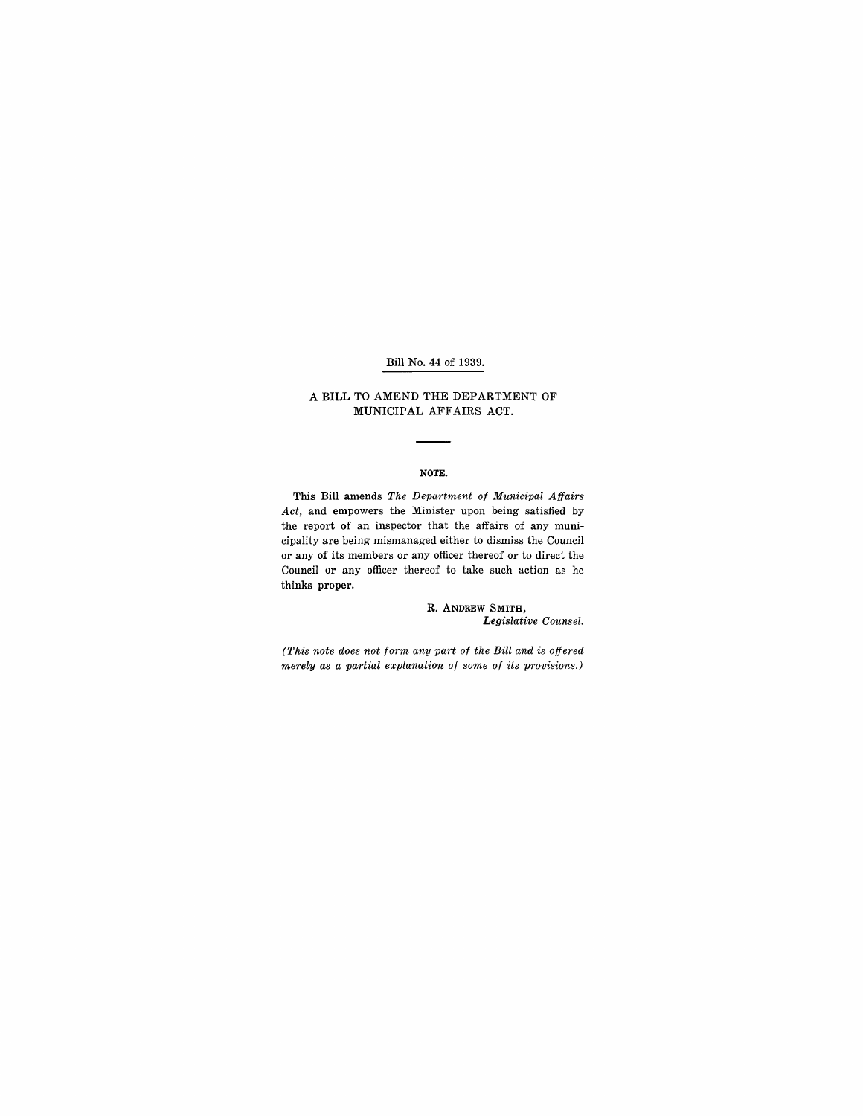#### Bill No. 44 of 1939.

### A BILL TO AMEND THE DEPARTMENT OF MUNICIPAL AFFAIRS ACT.

#### NOTE.

This Bill amends *The Department of Municipal Affairs Act,* and empowers the Minister upon being satisfied by the report of an inspector that the affairs of any municipality are being mismanaged either to dismiss the Council or any of its members or any officer thereof or to direct the Council or any officer thereof to take such action as he thinks proper.

> R. ANDREW SMITH, *Legislative Counsel.*

*(This note does not form any part of the Bill and is offered merely as a partial explanation of some of its provisions.)*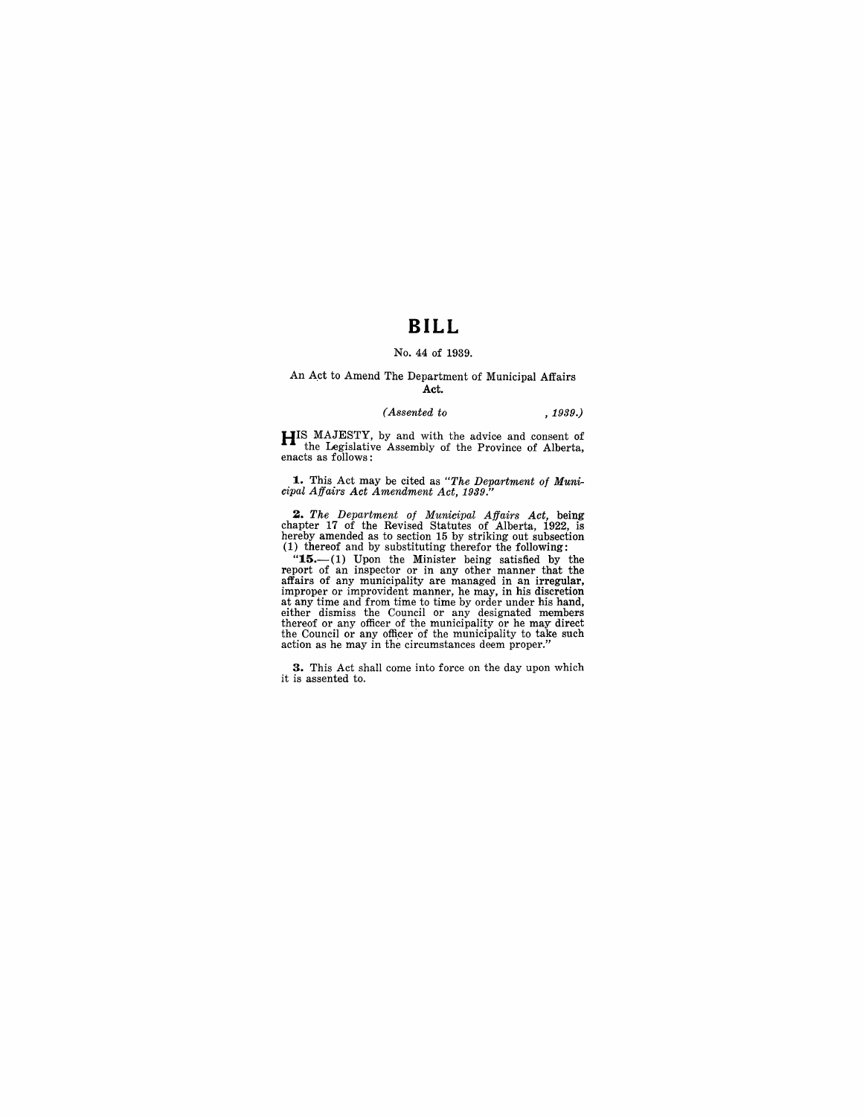## **BILL**

#### No. 44 of 1939.

#### An Act to Amend The Department of Municipal Affairs Act.

#### $(Assented\ to$ ,  $1939.)$

HIS MAJESTY, by and with the advice and consent of the Legislative Assembly of the Province of Alberta, enacts as follows:

**1.** This Act may be cited as "The Department of Muni-cipal Affairs Act Amendment Act, 1939."

2. The Department of Municipal Affairs Act, being chapter 17 of the Revised Statutes of Alberta, 1922, is hereby amended as to section 15 by striking out subsection (1) thereof and by substituting therefor the following:

 $15-$ (1) Upon the Minister being satisfied by the report of an inspector or in any other manner that the affairs of any municipality are managed in an irregular, improper or improvident manner, he may, in his discretion at any time and from time to time by order under his hand,<br>either dismiss the Council or any designated members<br>thereof or any officer of the municipality or he may direct<br>the Council or any officer of the municipality to

**3.** This Act shall come into force on the day upon which it is assented to.